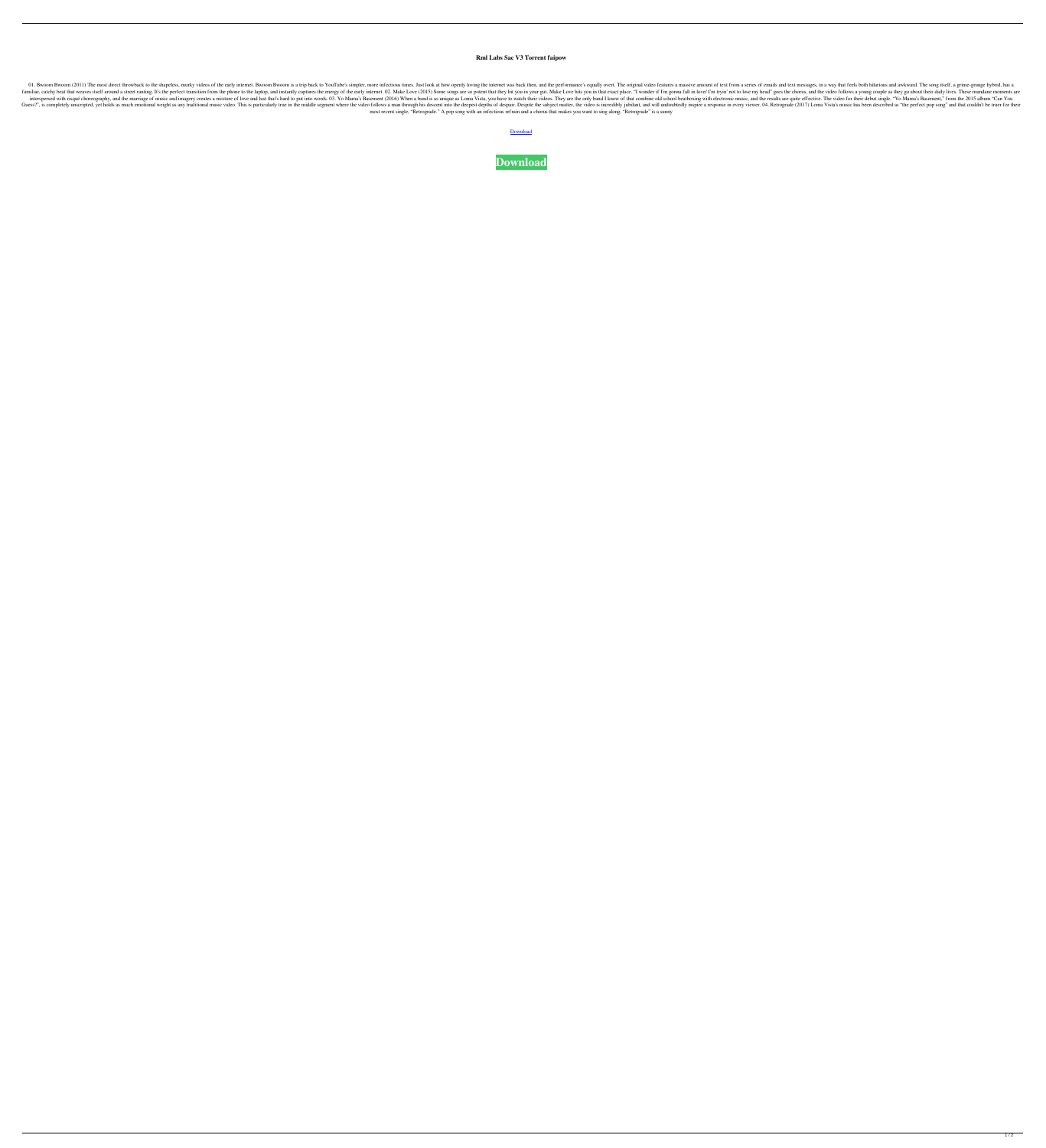## **Rml Labs Sac V3 Torrent faipow**

01. Bwoom Bwoom (2011) The most direct throwback to the shapeless, murky videos of the early internet. Bwoom Bwoom is a trip back to YouTube's simpler, more infectious times. Just look at how openly loving the internet was familiar, catchy beat that weaves itself around a street ranting. It's the perfect transition from the phone to the laptop, and instantly captures the energy of the early internet. 02. Make Love hits you in that exact plac interspersed with risqué choreography, and the marriage of music and imagery creates a mixture of love and lust that's hard to put into words. 03. Yo Mama's Basement (2016) When a band is as unique as Loma Vista, you have Guess?", is completely unscripted, yet holds as much emotional weight as any traditional music video. This is particularly true in the middle segment where the video follows a man through his descent into the deepest depth most recent single, "Retrograde." A pop song with an infectious refrain and a chorus that makes you want to sing along, "Retrograde" is a sunny

**[Download](http://evacdir.com/dissociate/cm1sIGxhYnMgc2FjIHYzIHRvcnJlbnQcm1.impressionists/ZG93bmxvYWR8TmsxTldaMGZId3hOalV5TkRZek1EVXdmSHd5TlRjMGZId29UU2tnY21WaFpDMWliRzluSUZ0R1lYTjBJRWRGVGww/coumadin/?inveraray)**